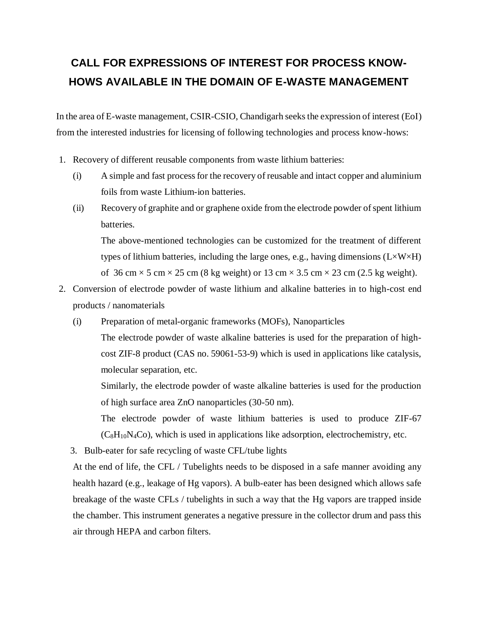## **CALL FOR EXPRESSIONS OF INTEREST FOR PROCESS KNOW-HOWS AVAILABLE IN THE DOMAIN OF E-WASTE MANAGEMENT**

In the area of E-waste management, CSIR-CSIO, Chandigarh seeks the expression of interest (EoI) from the interested industries for licensing of following technologies and process know-hows:

- 1. Recovery of different reusable components from waste lithium batteries:
	- (i) A simple and fast process for the recovery of reusable and intact copper and aluminium foils from waste Lithium-ion batteries.
	- (ii) Recovery of graphite and or graphene oxide from the electrode powder of spent lithium batteries.

The above-mentioned technologies can be customized for the treatment of different types of lithium batteries, including the large ones, e.g., having dimensions  $(L \times W \times H)$ of 36 cm  $\times$  5 cm  $\times$  25 cm (8 kg weight) or 13 cm  $\times$  3.5 cm  $\times$  23 cm (2.5 kg weight).

- 2. Conversion of electrode powder of waste lithium and alkaline batteries in to high-cost end products / nanomaterials
	- (i) Preparation of metal-organic frameworks (MOFs), Nanoparticles

The electrode powder of waste alkaline batteries is used for the preparation of highcost ZIF-8 product (CAS no. 59061-53-9) which is used in applications like catalysis, molecular separation, etc.

Similarly, the electrode powder of waste alkaline batteries is used for the production of high surface area ZnO nanoparticles (30-50 nm).

The electrode powder of waste lithium batteries is used to produce ZIF-67  $(C_8H_{10}N_4Co)$ , which is used in applications like adsorption, electrochemistry, etc.

3. Bulb-eater for safe recycling of waste CFL/tube lights

At the end of life, the CFL / Tubelights needs to be disposed in a safe manner avoiding any health hazard (e.g., leakage of Hg vapors). A bulb-eater has been designed which allows safe breakage of the waste CFLs / tubelights in such a way that the Hg vapors are trapped inside the chamber. This instrument generates a negative pressure in the collector drum and pass this air through HEPA and carbon filters.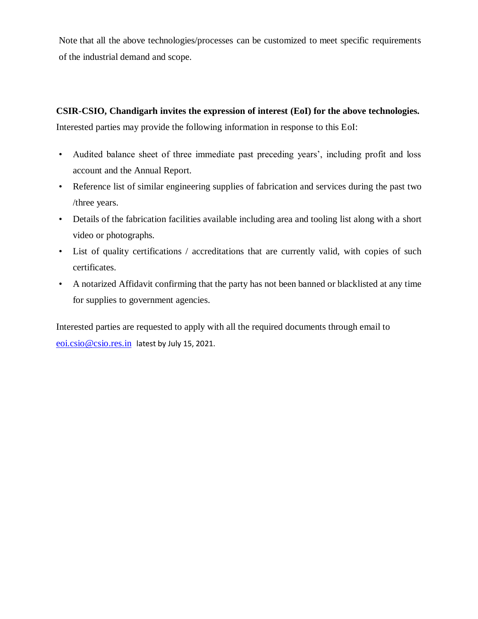Note that all the above technologies/processes can be customized to meet specific requirements of the industrial demand and scope.

## **CSIR-CSIO, Chandigarh invites the expression of interest (EoI) for the above technologies.** Interested parties may provide the following information in response to this EoI:

- Audited balance sheet of three immediate past preceding years', including profit and loss account and the Annual Report.
- Reference list of similar engineering supplies of fabrication and services during the past two /three years.
- Details of the fabrication facilities available including area and tooling list along with a short video or photographs.
- List of quality certifications / accreditations that are currently valid, with copies of such certificates.
- A notarized Affidavit confirming that the party has not been banned or blacklisted at any time for supplies to government agencies.

Interested parties are requested to apply with all the required documents through email to [eoi.csio@csio.res.in](mailto:eoi.csio@csio.res.in) latest by July 15, 2021.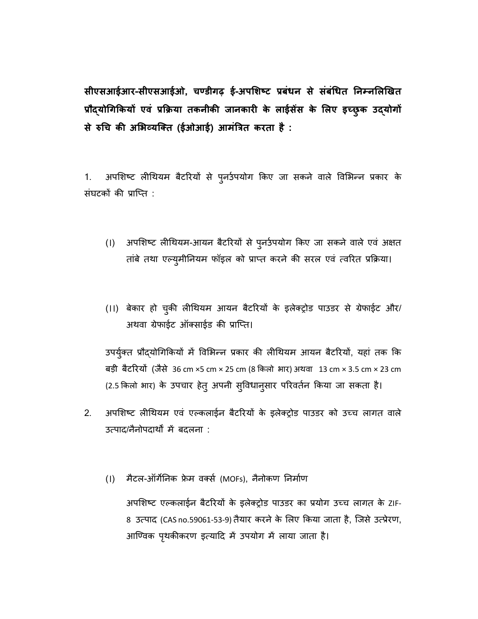**सीएसआईआर-सीएसआईओ, चण्डीगढ़ ई-अपशिष्टप्रबंधनसेसंबंधधत ननम्नशिखित प्रौद्योधगकियों एवं प्रकिया तिनीिी जानिारी िे िाईसेंस िे शिए इच्छुिउद्योगों सेरुधचिीअशिव्यक्तत(ईओआई) आमंत्रितिरताहै:**

1. अपशिष्ट लीथियम बैटरियों से पुनर्उपयोग किए जा सकने वाले विभिन्न प्रकार के संघटकों की प्राप्ति :

- (।) अपशिष्ट लीथियम-आयन बैटरियों से पुनर्उपयोग किए जा सकने वाले एवं अक्षत तांबे तथा एल्युमीनियम फॉइल को प्राप्त करने की सरल एवं त्वरित प्रक्रिया।
- (II) बेकार हो चुकी लीथियम आयन बैटरियों के इलेक्ट्रोड पाउडर से ग्रेफाईट और/ अथवा ग्रेफाईट ऑक्साईड की प्राप्ति।

उपर्युक्त प्रौद्योगिकियों में विभिन्न प्रकार की लीथियम आयन बैटरियों, यहां तक कि बड़ी बैटरियों (जैसे 36 cm ×5 cm × 25 cm (8 किलो भार) अथवा 13 cm × 3.5 cm × 23 cm (2.5 किलो भार) के उपचार हेत् अपनी सुविधानुसार परिवर्तन किया जा सकता है।

- 2. अपशिष्ट लीथियम एवं एल्कलाईन बैटरियों के इलेक्ट्रोड पाउडर को उच्च लागत वाले उत्पाद/नैनोपदार्थों में बदलना :
	- (।) मैटल-ऑर्गेनिक फ्रेम वर्क्स (MOFs), नैनोकण निर्माण

अपशिष्ट एल्कलाईन बैटरियों के इलेक्ट्रोड पाउडर का प्रयोग उच्च लागत के ZIF-8 उत्पाद (CAS no.59061-53-9) तैयार करने के लिए किया जाता है, जिसे उत्प्रेरण, आण्विक पृथकीकरण इत्यादि में उपयोग में लाया जाता है।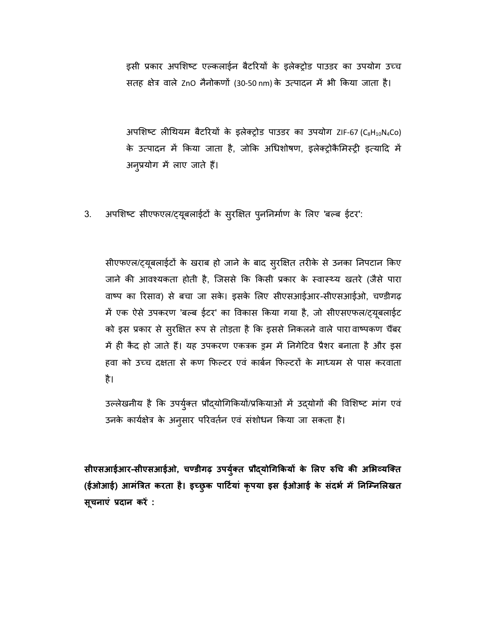इसी प्रकार अपशिष्ट एल्कलाईन बैटरियों के इलेक्ट्रोड पाउडर का उपयोग उच्च सतह क्षेत्र वाले ZnO नैनोकणों (30-50 nm) के उत्पादन में भी किया जाता है।

अपशिष्ट लीथियम बैटरियों के इलेक्ट्रोड पाउडर का उपयोग ZIF-67 (C<sub>8</sub>H<sub>10</sub>N<sub>4</sub>Co) के उत्पादन में किया जाता है, जोकि अधिशोषण, इलेक्ट्रोकैमिस्ट्री इत्यादि में अनुप्रयोग में लाए जाते हैं।

3. अपशिष्ट सीएफएल/ट्यूबलाईटों के सुरक्षित पुननिर्माण के लिए 'बल्ब ईटर':

सीएफएल/ट्यूबलाईटों के खराब हो जाने के बाद सुरक्षित तरीके से उनका निपटान किए जाने की आवश्यकता होती है, जिससे कि किसी प्रकार के स्वास्थ्य खतरे (जैसे पारा वाष्प का रिसाव) से बचा जा सके। इसके लिए सीएसआईआर-सीएसआईओ, चण्डीगढ़ में एक ऐसे उपकरण 'बल्ब ईटर' का विकास किया गया है, जो सीएसएफल/ट्यूबलाईट को इस प्रकार से सुरक्षित रूप से तोड़ता है कि इससे निकलने वाले पारा वाष्पकण चैंबर में ही कैद हो जाते हैं। यह उपकरण एकत्रक इम में निगेटिव प्रैशर बनाता है और इस हवा को उच्च दक्षता से कण फिल्टर एवं कार्बन फिल्टरों के माध्यम से पास करवाता है।

उल्लेखनीय है कि उपर्युक्त प्रौद्योगिकियों/प्रकियाओं में उद्योगों की विशिष्ट मांग एवं उनके कार्यक्षेत्र के अनुसार परिवर्तन एवं संशोधन किया जा सकता है।

**सीएसआईआर-सीएसआईओ, चण्डीगढ़ उपयुतु तप्रौद्योधगकियोंिे शिएरुधचिीअशिव्यक्तत (ईओआई)आमंत्रित िरता है। इच्छुि पार्टुयां िृपया इस ईओआई िे संदिु में ननक्म्नशिित सूचनाएं प्रदान िरें :**